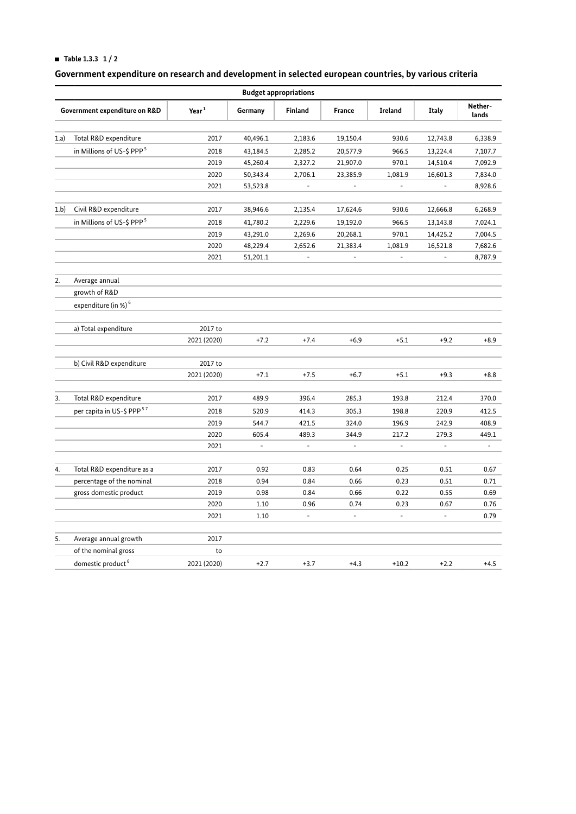## **HI Table 1.3.3 1 / 2**

# **Government expenditure on research and development in selected european countries, by various criteria**

| <b>Budget appropriations</b>  |                                       |                   |                          |                          |                |                          |                          |                          |  |  |
|-------------------------------|---------------------------------------|-------------------|--------------------------|--------------------------|----------------|--------------------------|--------------------------|--------------------------|--|--|
| Government expenditure on R&D |                                       | Year <sup>1</sup> | Germany                  | Finland                  | France         | <b>Ireland</b>           | <b>Italy</b>             | Nether-<br>lands         |  |  |
| 1.a)                          | Total R&D expenditure                 | 2017              | 40,496.1                 | 2,183.6                  | 19,150.4       | 930.6                    | 12,743.8                 | 6,338.9                  |  |  |
|                               | in Millions of US-\$ PPP <sup>5</sup> | 2018              | 43,184.5                 | 2,285.2                  | 20,577.9       | 966.5                    | 13,224.4                 | 7,107.7                  |  |  |
|                               |                                       | 2019              | 45,260.4                 | 2,327.2                  | 21,907.0       | 970.1                    | 14,510.4                 | 7,092.9                  |  |  |
|                               |                                       | 2020              | 50,343.4                 | 2,706.1                  | 23,385.9       | 1,081.9                  | 16,601.3                 | 7,834.0                  |  |  |
|                               |                                       | 2021              | 53,523.8                 | $\blacksquare$           | $\sim$         | $\overline{\phantom{a}}$ | $\overline{\phantom{a}}$ | 8,928.6                  |  |  |
| 1.b)                          | Civil R&D expenditure                 | 2017              | 38,946.6                 | 2,135.4                  | 17,624.6       | 930.6                    | 12,666.8                 | 6,268.9                  |  |  |
|                               | in Millions of US-\$ PPP <sup>5</sup> | 2018              | 41,780.2                 | 2,229.6                  | 19,192.0       | 966.5                    | 13,143.8                 | 7,024.1                  |  |  |
|                               |                                       | 2019              | 43,291.0                 | 2,269.6                  | 20,268.1       | 970.1                    | 14,425.2                 | 7,004.5                  |  |  |
|                               |                                       | 2020              | 48,229.4                 | 2,652.6                  | 21,383.4       | 1,081.9                  | 16,521.8                 | 7,682.6                  |  |  |
|                               |                                       | 2021              | 51,201.1                 | $\overline{a}$           | $\overline{a}$ | $\overline{a}$           | $\overline{\phantom{a}}$ | 8,787.9                  |  |  |
| 2.                            | Average annual                        |                   |                          |                          |                |                          |                          |                          |  |  |
|                               | growth of R&D                         |                   |                          |                          |                |                          |                          |                          |  |  |
|                               | expenditure (in %) <sup>6</sup>       |                   |                          |                          |                |                          |                          |                          |  |  |
|                               | a) Total expenditure                  | 2017 to           |                          |                          |                |                          |                          |                          |  |  |
|                               |                                       | 2021 (2020)       | $+7.2$                   | $+7.4$                   | $+6.9$         | $+5.1$                   | $+9.2$                   | $+8.9$                   |  |  |
|                               | b) Civil R&D expenditure              | 2017 to           |                          |                          |                |                          |                          |                          |  |  |
|                               |                                       | 2021 (2020)       | $+7.1$                   | $+7.5$                   | $+6.7$         | $+5.1$                   | $+9.3$                   | $+8.8$                   |  |  |
|                               |                                       |                   |                          |                          |                |                          |                          |                          |  |  |
| 3.                            | Total R&D expenditure                 | 2017              | 489.9                    | 396.4                    | 285.3          | 193.8                    | 212.4                    | 370.0                    |  |  |
|                               | per capita in US-\$ PPP <sup>57</sup> | 2018              | 520.9                    | 414.3                    | 305.3          | 198.8                    | 220.9                    | 412.5                    |  |  |
|                               |                                       | 2019              | 544.7                    | 421.5                    | 324.0          | 196.9                    | 242.9                    | 408.9                    |  |  |
|                               |                                       | 2020              | 605.4                    | 489.3                    | 344.9          | 217.2                    | 279.3                    | 449.1                    |  |  |
|                               |                                       | 2021              | $\overline{\phantom{a}}$ | $\overline{\phantom{0}}$ | $\overline{a}$ | $\overline{\phantom{a}}$ | $\overline{\phantom{a}}$ | $\overline{\phantom{a}}$ |  |  |
| 4.                            | Total R&D expenditure as a            | 2017              | 0.92                     | 0.83                     | 0.64           | 0.25                     | 0.51                     | 0.67                     |  |  |
|                               | percentage of the nominal             | 2018              | 0.94                     | 0.84                     | 0.66           | 0.23                     | 0.51                     | 0.71                     |  |  |
|                               | gross domestic product                | 2019              | 0.98                     | 0.84                     | 0.66           | 0.22                     | 0.55                     | 0.69                     |  |  |
|                               |                                       | 2020              | 1.10                     | 0.96                     | 0.74           | 0.23                     | 0.67                     | 0.76                     |  |  |
|                               |                                       | 2021              | 1.10                     | $\overline{\phantom{a}}$ | $\Box$         | ÷.                       | $\bar{\phantom{a}}$      | 0.79                     |  |  |
| 5.                            | Average annual growth                 | 2017              |                          |                          |                |                          |                          |                          |  |  |
|                               | of the nominal gross                  | to                |                          |                          |                |                          |                          |                          |  |  |
|                               | domestic product <sup>6</sup>         | 2021 (2020)       | $+2.7$                   | $+3.7$                   | $+4.3$         | $+10.2$                  | $+2.2$                   | $+4.5$                   |  |  |